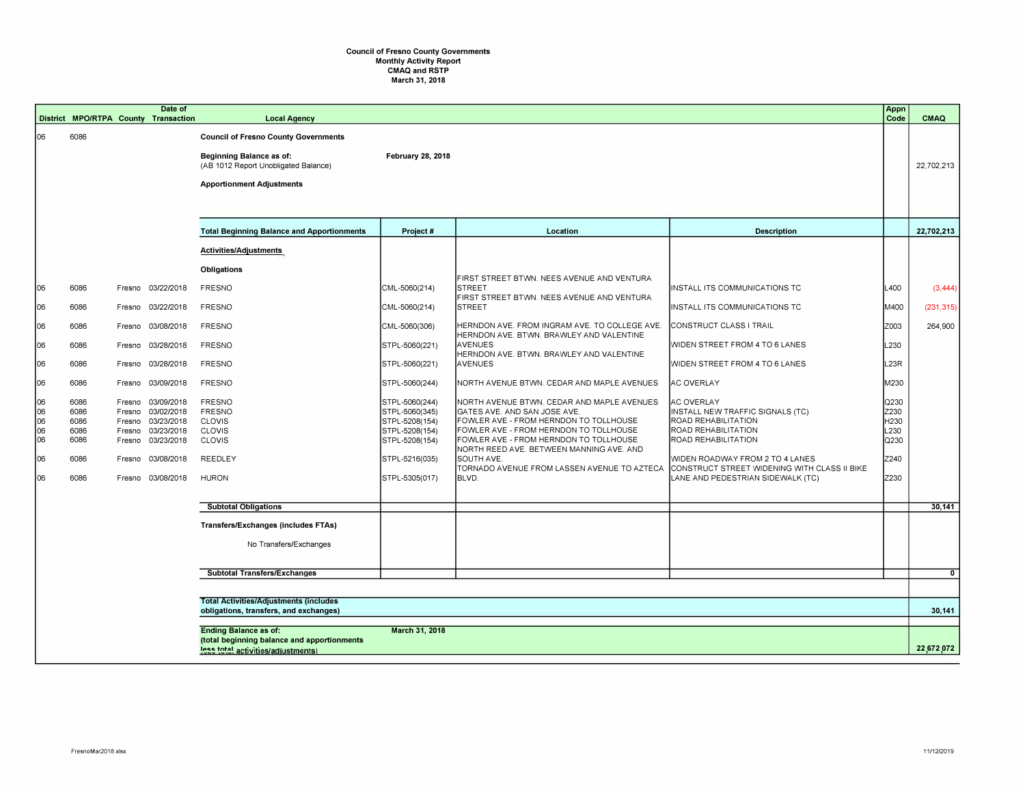## **Council of Fresno County Governments**  Monthly Activity Report CMAQ and RSTP March 31, 2018

|     |                                                                                         |      |        | Date of<br>District MPO/RTPA County Transaction | <b>Local Agency</b>                                                                                                    |                          |                                                                                                           |                                                                                 | Appn<br>Code | CMAQ         |
|-----|-----------------------------------------------------------------------------------------|------|--------|-------------------------------------------------|------------------------------------------------------------------------------------------------------------------------|--------------------------|-----------------------------------------------------------------------------------------------------------|---------------------------------------------------------------------------------|--------------|--------------|
| 106 |                                                                                         | 6086 |        |                                                 | <b>Council of Fresno County Governments</b><br><b>Beginning Balance as of:</b><br>(AB 1012 Report Unobligated Balance) | <b>February 28, 2018</b> |                                                                                                           |                                                                                 |              | 22,702,213   |
|     |                                                                                         |      |        |                                                 |                                                                                                                        |                          |                                                                                                           |                                                                                 |              |              |
|     |                                                                                         |      |        |                                                 | <b>Apportionment Adjustments</b>                                                                                       |                          |                                                                                                           |                                                                                 |              |              |
|     |                                                                                         |      |        |                                                 |                                                                                                                        |                          |                                                                                                           |                                                                                 |              |              |
|     |                                                                                         |      |        |                                                 | <b>Total Beginning Balance and Apportionments</b>                                                                      | Project #                | Location                                                                                                  | <b>Description</b>                                                              |              | 22,702,213   |
|     |                                                                                         |      |        |                                                 | Activities/Adjustments                                                                                                 |                          |                                                                                                           |                                                                                 |              |              |
|     |                                                                                         |      |        |                                                 | Obligations                                                                                                            |                          |                                                                                                           |                                                                                 |              |              |
| 06  |                                                                                         | 6086 | Fresno | 03/22/2018                                      | <b>FRESNO</b>                                                                                                          | CML-5060(214)            | FIRST STREET BTWN, NEES AVENUE AND VENTURA<br><b>STREET</b><br>FIRST STREET BTWN. NEES AVENUE AND VENTURA | INSTALL ITS COMMUNICATIONS TC                                                   | L400         | (3, 444)     |
| 06  |                                                                                         | 6086 | Fresno | 03/22/2018                                      | <b>FRESNO</b>                                                                                                          | CML-5060(214)            | <b>STREET</b>                                                                                             | INSTALL ITS COMMUNICATIONS TC                                                   | M400         | (231, 315)   |
| 06  |                                                                                         | 6086 | Fresno | 03/08/2018                                      | <b>FRESNO</b>                                                                                                          | CML-5060(306)            | HERNDON AVE. FROM INGRAM AVE. TO COLLEGE AVE.<br>HERNDON AVE. BTWN. BRAWLEY AND VALENTINE                 | CONSTRUCT CLASS I TRAIL                                                         | Z003         | 264,900      |
| 06  |                                                                                         | 6086 | Fresno | 03/28/2018                                      | <b>FRESNO</b>                                                                                                          | STPL-5060(221)           | <b>AVENUES</b><br>HERNDON AVE. BTWN. BRAWLEY AND VALENTINE                                                | WIDEN STREET FROM 4 TO 6 LANES                                                  | L230         |              |
| 06  |                                                                                         | 6086 | Fresno | 03/28/2018                                      | <b>FRESNO</b>                                                                                                          | STPL-5060(221)           | <b>AVENUES</b>                                                                                            | WIDEN STREET FROM 4 TO 6 LANES                                                  | L23R         |              |
| 06  |                                                                                         | 6086 | Fresno | 03/09/2018                                      | <b>FRESNO</b>                                                                                                          | STPL-5060(244)           | NORTH AVENUE BTWN. CEDAR AND MAPLE AVENUES                                                                | <b>AC OVERLAY</b>                                                               | M230         |              |
| 06  |                                                                                         | 6086 | Fresno | 03/09/2018                                      | <b>FRESNO</b>                                                                                                          | STPL-5060(244)           | NORTH AVENUE BTWN. CEDAR AND MAPLE AVENUES                                                                | <b>AC OVERLAY</b>                                                               | Q230         |              |
| 06  |                                                                                         | 6086 | Fresno | 03/02/2018                                      | <b>FRESNO</b>                                                                                                          | STPL-5060(345)           | GATES AVE. AND SAN JOSE AVE.                                                                              | INSTALL NEW TRAFFIC SIGNALS (TC)                                                | Z230         |              |
| 06  |                                                                                         | 6086 | Fresno | 03/23/2018                                      | <b>CLOVIS</b>                                                                                                          | STPL-5208(154)           | FOWLER AVE - FROM HERNDON TO TOLLHOUSE                                                                    | ROAD REHABILITATION                                                             | H230         |              |
| 06  |                                                                                         | 6086 | Fresno | 03/23/2018                                      | CLOVIS                                                                                                                 | STPL-5208(154)           | FOWLER AVE - FROM HERNDON TO TOLLHOUSE                                                                    | ROAD REHABILITATION                                                             | L230         |              |
| 06  |                                                                                         | 6086 | Fresno | 03/23/2018                                      | CLOVIS                                                                                                                 | STPL-5208(154)           | FOWLER AVE - FROM HERNDON TO TOLLHOUSE<br>NORTH REED AVE. BETWEEN MANNING AVE. AND                        | <b>ROAD REHABILITATION</b>                                                      | Q230         |              |
| 06  |                                                                                         | 6086 | Fresno | 03/08/2018                                      | <b>REEDLEY</b>                                                                                                         | STPL-5216(035)           | SOUTH AVE.<br>TORNADO AVENUE FROM LASSEN AVENUE TO AZTECA                                                 | WIDEN ROADWAY FROM 2 TO 4 LANES<br>CONSTRUCT STREET WIDENING WITH CLASS II BIKE | Z240         |              |
| 06  |                                                                                         | 6086 | Fresno | 03/08/2018                                      | <b>HURON</b>                                                                                                           | STPL-5305(017)           | BLVD.                                                                                                     | LANE AND PEDESTRIAN SIDEWALK (TC)                                               | Z230         |              |
|     |                                                                                         |      |        |                                                 | <b>Subtotal Obligations</b>                                                                                            |                          |                                                                                                           |                                                                                 |              | 30,141       |
|     |                                                                                         |      |        |                                                 | Transfers/Exchanges (includes FTAs)                                                                                    |                          |                                                                                                           |                                                                                 |              |              |
|     |                                                                                         |      |        |                                                 | No Transfers/Exchanges                                                                                                 |                          |                                                                                                           |                                                                                 |              |              |
|     |                                                                                         |      |        |                                                 |                                                                                                                        |                          |                                                                                                           |                                                                                 |              |              |
|     |                                                                                         |      |        |                                                 | <b>Subtotal Transfers/Exchanges</b>                                                                                    |                          |                                                                                                           |                                                                                 |              | $\mathbf{0}$ |
|     |                                                                                         |      |        |                                                 |                                                                                                                        |                          |                                                                                                           |                                                                                 |              |              |
|     | <b>Total Activities/Adjustments (includes</b><br>obligations, transfers, and exchanges) |      |        |                                                 |                                                                                                                        |                          |                                                                                                           |                                                                                 |              | 30,141       |
|     | March 31, 2018<br><b>Ending Balance as of:</b>                                          |      |        |                                                 |                                                                                                                        |                          |                                                                                                           |                                                                                 |              |              |
|     |                                                                                         |      |        |                                                 | (total beginning balance and apportionments<br>less total activities/adjustments)                                      |                          |                                                                                                           |                                                                                 |              | 22,672,072   |
|     |                                                                                         |      |        |                                                 |                                                                                                                        |                          |                                                                                                           |                                                                                 |              |              |